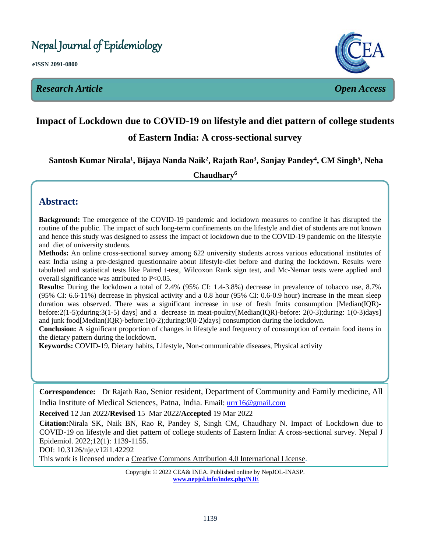Nepal Journal of Epidemiology

**eISSN 2091-0800**

*Research Article Open Access*



# **Impact of Lockdown due to COVID-19 on lifestyle and diet pattern of college students**   $\overline{a}$

# **of Eastern India: A cross-sectional survey**

**Santosh Kumar Nirala<sup>1</sup> , Bijaya Nanda Naik<sup>2</sup> , Rajath Rao<sup>3</sup> , Sanjay Pandey<sup>4</sup> , CM Singh<sup>5</sup> , Neha**  l

**Chaudhary<sup>6</sup>**

# **Abstract:**

**Background:** The emergence of the COVID-19 pandemic and lockdown measures to confine it has disrupted the routine of the public. The impact of such long-term confinements on the lifestyle and diet of students are not known and hence this study was designed to assess the impact of lockdown due to the COVID-19 pandemic on the lifestyle and diet of university students.

**Methods:** An online cross-sectional survey among 622 university students across various educational institutes of east India using a pre-designed questionnaire about lifestyle-diet before and during the lockdown. Results were tabulated and statistical tests like Paired t-test, Wilcoxon Rank sign test, and Mc-Nemar tests were applied and overall significance was attributed to P<0.05.

**Results:** During the lockdown a total of 2.4% (95% CI: 1.4-3.8%) decrease in prevalence of tobacco use, 8.7% (95% CI: 6.6-11%) decrease in physical activity and a 0.8 hour (95% CI: 0.6-0.9 hour) increase in the mean sleep duration was observed. There was a significant increase in use of fresh fruits consumption [Median(IQR) before:2(1-5);during:3(1-5) days] and a decrease in meat-poultry[Median(IQR)-before: 2(0-3);during: 1(0-3)days] and junk food[Median(IQR)-before:1(0-2);during:0(0-2)days] consumption during the lockdown.

**Conclusion:** A significant proportion of changes in lifestyle and frequency of consumption of certain food items in the dietary pattern during the lockdown.

**Keywords:** COVID-19, Dietary habits, Lifestyle, Non-communicable diseases, Physical activity

**Correspondence:** Dr Rajath Rao, Senior resident, Department of Community and Family medicine, All India Institute of Medical Sciences, Patna, India. Email: [urrr16@gmail.com](mailto:urrr16@gmail.com)

## **Received** 12 Jan 2022/**Revised** 15 Mar 2022/**Accepted** 19 Mar 2022

**Citation:**Nirala SK, Naik BN, Rao R, Pandey S, Singh CM, Chaudhary N. Impact of Lockdown due to COVID-19 on lifestyle and diet pattern of college students of Eastern India: A cross-sectional survey. Nepal J Epidemiol. 2022;12(1): 1139-1155.

DOI: 10.3126/nje.v12i1.42292

This work is licensed under a [Creative Commons Attribution 4.0 International License.](http://creativecommons.org/licenses/by/4.0/)

Copyright © 2022 CEA& INEA. Published online by NepJOL-INASP. **[www.nepjol.info/index.php/NJE](http://www.nepjol.info/index.php/NJE)**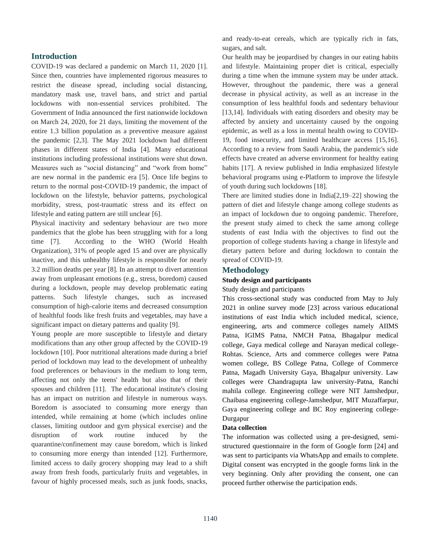## **Introduction**

COVID-19 was declared a pandemic on March 11, 2020 [1]. Since then, countries have implemented rigorous measures to restrict the disease spread, including social distancing, mandatory mask use, travel bans, and strict and partial lockdowns with non-essential services prohibited. The Government of India announced the first nationwide lockdown on March 24, 2020, for 21 days, limiting the movement of the entire 1.3 billion population as a preventive measure against the pandemic [2,3]. The May 2021 lockdown had different phases in different states of India [4]. Many educational institutions including professional institutions were shut down. Measures such as "social distancing" and "work from home" are new normal in the pandemic era [5]. Once life begins to return to the normal post-COVID-19 pandemic, the impact of lockdown on the lifestyle, behavior patterns, psychological morbidity, stress, post-traumatic stress and its effect on lifestyle and eating pattern are still unclear [6].

Physical inactivity and sedentary behaviour are two more pandemics that the globe has been struggling with for a long time [7]. According to the WHO (World Health Organization), 31% of people aged 15 and over are physically inactive, and this unhealthy lifestyle is responsible for nearly 3.2 million deaths per year [8]. In an attempt to divert attention away from unpleasant emotions (e.g., stress, boredom) caused during a lockdown, people may develop problematic eating patterns. Such lifestyle changes, such as increased consumption of high-calorie items and decreased consumption of healthful foods like fresh fruits and vegetables, may have a significant impact on dietary patterns and quality [9].

Young people are more susceptible to lifestyle and dietary modifications than any other group affected by the COVID-19 lockdown [10]. Poor nutritional alterations made during a brief period of lockdown may lead to the development of unhealthy food preferences or behaviours in the medium to long term, affecting not only the teens' health but also that of their spouses and children [11]. The educational institute's closing has an impact on nutrition and lifestyle in numerous ways. Boredom is associated to consuming more energy than intended, while remaining at home (which includes online classes, limiting outdoor and gym physical exercise) and the disruption of work routine induced by the quarantine/confinement may cause boredom, which is linked to consuming more energy than intended [12]. Furthermore, limited access to daily grocery shopping may lead to a shift away from fresh foods, particularly fruits and vegetables, in favour of highly processed meals, such as junk foods, snacks,

and ready-to-eat cereals, which are typically rich in fats, sugars, and salt.

Our health may be jeopardised by changes in our eating habits and lifestyle. Maintaining proper diet is critical, especially during a time when the immune system may be under attack. However, throughout the pandemic, there was a general decrease in physical activity, as well as an increase in the consumption of less healthful foods and sedentary behaviour [13,14]. Individuals with eating disorders and obesity may be affected by anxiety and uncertainty caused by the ongoing epidemic, as well as a loss in mental health owing to COVID-19, food insecurity, and limited healthcare access [15,16]. According to a review from Saudi Arabia, the pandemic's side effects have created an adverse environment for healthy eating habits [17]. A review published in India emphasized lifestyle behavioral programs using e-Platform to improve the lifestyle of youth during such lockdowns [18].

There are limited studies done in India[2,19–22] showing the pattern of diet and lifestyle change among college students as an impact of lockdown due to ongoing pandemic. Therefore, the present study aimed to check the same among college students of east India with the objectives to find out the proportion of college students having a change in lifestyle and dietary pattern before and during lockdown to contain the spread of COVID-19.

## **Methodology**

## **Study design and participants**

#### Study design and participants

This cross-sectional study was conducted from May to July 2021 in online survey mode [23] across various educational institutions of east India which included medical, science, engineering, arts and commerce colleges namely AIIMS Patna, IGIMS Patna, NMCH Patna, Bhagalpur medical college, Gaya medical college and Narayan medical college-Rohtas. Science, Arts and commerce colleges were Patna women college, BS College Patna, College of Commerce Patna, Magadh University Gaya, Bhagalpur university. Law colleges were Chandragupta law university-Patna, Ranchi mahila college. Engineering college were NIT Jamshedpur, Chaibasa engineering college-Jamshedpur, MIT Muzaffarpur, Gaya engineering college and BC Roy engineering college-Durgapur

#### **Data collection**

The information was collected using a pre-designed, semistructured questionnaire in the form of Google form [24] and was sent to participants via WhatsApp and emails to complete. Digital consent was encrypted in the google forms link in the very beginning. Only after providing the consent, one can proceed further otherwise the participation ends.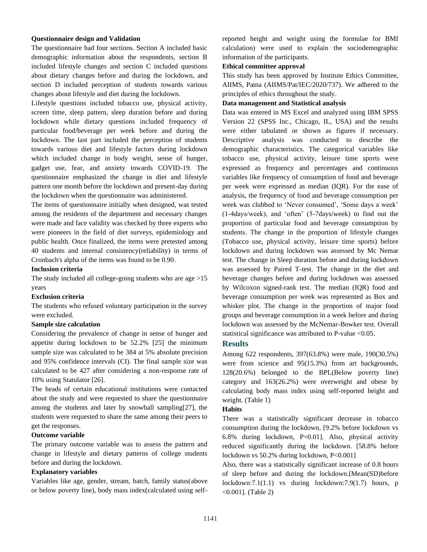#### **Questionnaire design and Validation**

The questionnaire had four sections. Section A included basic demographic information about the respondents, section B included lifestyle changes and section C included questions about dietary changes before and during the lockdown, and section D included perception of students towards various changes about lifestyle and diet during the lockdown.

Lifestyle questions included tobacco use, physical activity, screen time, sleep pattern, sleep duration before and during lockdown while dietary questions included frequency of particular food/beverage per week before and during the lockdown. The last part included the perception of students towards various diet and lifestyle factors during lockdown which included change in body weight, sense of hunger, gadget use, fear, and anxiety towards COVID-19. The questionnaire emphasized the change in diet and lifestyle pattern one month before the lockdown and present-day during the lockdown when the questionnaire was administered.

The items of questionnaire initially when designed, was tested among the residents of the department and necessary changes were made and face validity was checked by three experts who were pioneers in the field of diet surveys, epidemiology and public health. Once finalized, the items were pretested among 40 students and internal consistency(reliability) in terms of Cronbach's alpha of the items was found to be 0.90.

#### **Inclusion criteria**

The study included all college-going students who are age  $>15$ years

#### **Exclusion criteria**

The students who refused voluntary participation in the survey were excluded.

#### **Sample size calculation**

Considering the prevalence of change in sense of hunger and appetite during lockdown to be 52.2% [25] the minimum sample size was calculated to be 384 at 5% absolute precision and 95% confidence intervals (CI). The final sample size was calculated to be 427 after considering a non-response rate of 10% using Statulator [26].

The heads of certain educational institutions were contacted about the study and were requested to share the questionnaire among the students and later by snowball sampling[27], the students were requested to share the same among their peers to get the responses.

#### **Outcome variable**

The primary outcome variable was to assess the pattern and change in lifestyle and dietary patterns of college students before and during the lockdown.

#### **Explanatory variables**

Variables like age, gender, stream, batch, family status(above or below poverty line), body mass index(calculated using selfreported height and weight using the formulae for BMI calculation) were used to explain the sociodemographic information of the participants.

## **Ethical committee approval**

This study has been approved by Institute Ethics Committee, AIIMS, Patna (AIIMS/Pat/IEC/2020/737). We adhered to the principles of ethics throughout the study.

#### **Data management and Statistical analysis**

Data was entered in MS Excel and analyzed using IBM SPSS Version 22 (SPSS Inc., Chicago, IL, USA) and the results were either tabulated or shown as figures if necessary. Descriptive analysis was conducted to describe the demographic characteristics. The categorical variables like tobacco use, physical activity, leisure time sports were expressed as frequency and percentages and continuous variables like frequency of consumption of food and beverage per week were expressed as median (IQR). For the ease of analysis, the frequency of food and beverage consumption per week was clubbed to 'Never consumed', 'Some days a week' (1-4days/week), and 'often' (5-7days/week) to find out the proportion of particular food and beverage consumption by students. The change in the proportion of lifestyle changes (Tobacco use, physical activity, leisure time sports) before lockdown and during lockdown was assessed by Mc Nemar test. The change in Sleep duration before and during lockdown was assessed by Paired T-test. The change in the diet and beverage changes before and during lockdown was assessed by Wilcoxon signed-rank test. The median (IQR) food and beverage consumption per week was represented as Box and whisker plot. The change in the proportion of major food groups and beverage consumption in a week before and during lockdown was assessed by the McNemar-Bowker test. Overall statistical significance was attributed to P-value <0.05.

#### **Results**

Among 622 respondents, 397(63.8%) were male, 190(30.5%) were from science and 95(15.3%) from art backgrounds, 128(20.6%) belonged to the BPL(Below poverty line) category and 163(26.2%) were overweight and obese by calculating body mass index using self-reported height and weight. (Table 1)

#### **Habits**

There was a statistically significant decrease in tobacco consumption during the lockdown, [9.2% before lockdown vs 6.8% during lockdown, P=0.01]. Also, physical activity reduced significantly during the lockdown. [58.8% before lockdown vs 50.2% during lockdown, P<0.001]

Also, there was a statistically significant increase of 0.8 hours of sleep before and during the lockdown.[Mean(SD)before lockdown:7.1(1.1) vs during lockdown:7.9(1.7) hours, p <0.001]. (Table 2)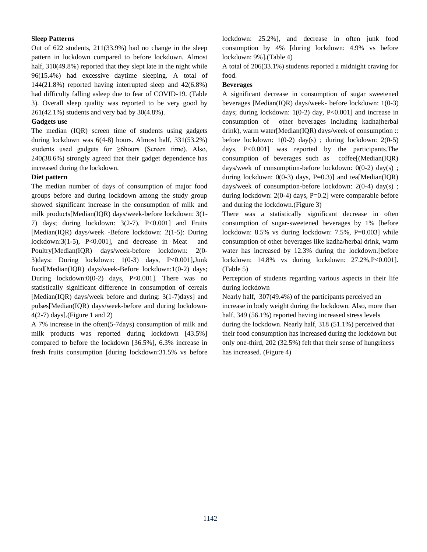## **Sleep Patterns**

Out of 622 students, 211(33.9%) had no change in the sleep pattern in lockdown compared to before lockdown. Almost half,  $310(49.8%)$  reported that they slept late in the night while 96(15.4%) had excessive daytime sleeping. A total of 144(21.8%) reported having interrupted sleep and 42(6.8%) had difficulty falling asleep due to fear of COVID-19. (Table 3). Overall sleep quality was reported to be very good by 261(42.1%) students and very bad by 30(4.8%).

#### **Gadgets use**

The median (IQR) screen time of students using gadgets during lockdown was 6(4-8) hours. Almost half, 331(53.2%) students used gadgets for ≥6hours (Screen time). Also, 240(38.6%) strongly agreed that their gadget dependence has increased during the lockdown.

## **Diet pattern**

The median number of days of consumption of major food groups before and during lockdown among the study group showed significant increase in the consumption of milk and milk products[Median(IQR) days/week-before lockdown: 3(1- 7) days; during lockdown:  $3(2-7)$ ,  $P<0.001$  and Fruits [Median(IQR) days/week -Before lockdown: 2(1-5): During lockdown:3(1-5), P<0.001], and decrease in Meat and Poultry[Median(IQR) days/week-before lockdown: 2(0- 3)days: During lockdown: 1(0-3) days, P<0.001],Junk food[Median(IQR) days/week-Before lockdown:1(0-2) days; During lockdown:0(0-2) days,  $P<0.001$ . There was no statistically significant difference in consumption of cereals [Median(IQR) days/week before and during: 3(1-7)days] and pulses[Median(IQR) days/week-before and during lockdown- $4(2-7)$  days].(Figure 1 and 2)

A 7% increase in the often(5-7days) consumption of milk and milk products was reported during lockdown [43.5%] compared to before the lockdown [36.5%], 6.3% increase in fresh fruits consumption [during lockdown:31.5% vs before lockdown: 25.2%], and decrease in often junk food consumption by 4% [during lockdown: 4.9% vs before lockdown: 9%].(Table 4)

A total of 206(33.1%) students reported a midnight craving for food.

## **Beverages**

A significant decrease in consumption of sugar sweetened beverages [Median(IQR) days/week- before lockdown: 1(0-3) days; during lockdown: 1(0-2) day, P<0.001] and increase in consumption of other beverages including kadha(herbal drink), warm water[Median(IQR) days/week of consumption :: before lockdown: 1(0-2) day(s) ; during lockdown: 2(0-5) days, P<0.001] was reported by the participants.The consumption of beverages such as coffee[(Median(IQR) days/week of consumption-before lockdown:  $0(0-2)$  day(s); during lockdown:  $0(0-3)$  days, P=0.3)] and tea[Median(IQR) days/week of consumption-before lockdown: 2(0-4) day(s) ; during lockdown: 2(0-4) days, P=0.2] were comparable before and during the lockdown.(Figure 3)

There was a statistically significant decrease in often consumption of sugar-sweetened beverages by 1% [before lockdown: 8.5% vs during lockdown: 7.5%, P=0.003] while consumption of other beverages like kadha/herbal drink, warm water has increased by 12.3% during the lockdown.[before lockdown: 14.8% vs during lockdown: 27.2%,P<0.001]. (Table 5)

Perception of students regarding various aspects in their life during lockdown

Nearly half, 307(49.4%) of the participants perceived an increase in body weight during the lockdown. Also, more than half, 349 (56.1%) reported having increased stress levels during the lockdown. Nearly half, 318 (51.1%) perceived that their food consumption has increased during the lockdown but only one-third, 202 (32.5%) felt that their sense of hungriness has increased. (Figure 4)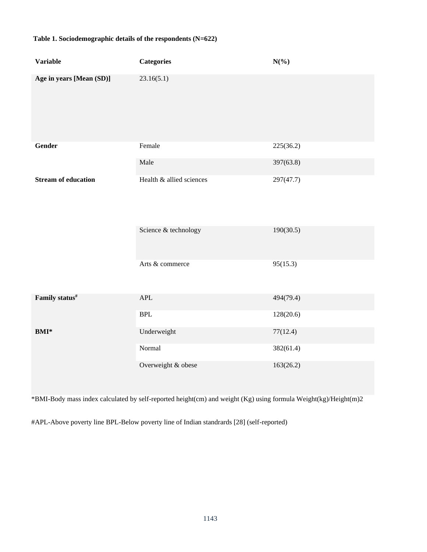# **Table 1. Sociodemographic details of the respondents (N=622)**

| <b>Variable</b>            | <b>Categories</b>        | $N(\%)$   |
|----------------------------|--------------------------|-----------|
| Age in years [Mean (SD)]   | 23.16(5.1)               |           |
| Gender                     | Female                   | 225(36.2) |
|                            | Male                     | 397(63.8) |
| <b>Stream of education</b> | Health & allied sciences | 297(47.7) |
|                            | Science & technology     | 190(30.5) |
|                            | Arts & commerce          | 95(15.3)  |
| Family status#             | $\mbox{APL}$             | 494(79.4) |
|                            | <b>BPL</b>               | 128(20.6) |
| <b>BMI*</b>                | Underweight              | 77(12.4)  |
|                            | Normal                   | 382(61.4) |
|                            | Overweight & obese       | 163(26.2) |

\*BMI-Body mass index calculated by self-reported height(cm) and weight (Kg) using formula Weight(kg)/Height(m)2

#APL-Above poverty line BPL-Below poverty line of Indian standrards [28] (self-reported)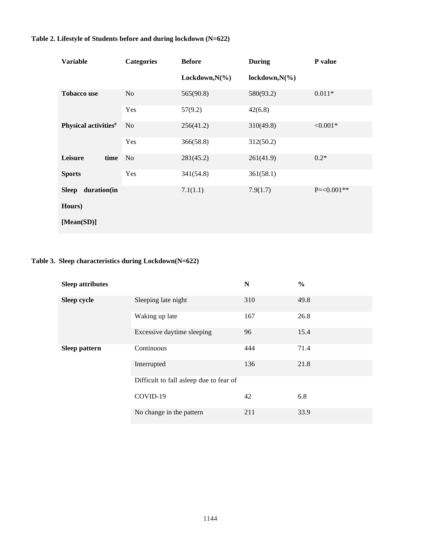# **Table 2. Lifestyle of Students before and during lockdown (N=622)**

| <b>Variable</b>                  | <b>Categories</b> | <b>Before</b>      | <b>During</b>      | P value         |
|----------------------------------|-------------------|--------------------|--------------------|-----------------|
|                                  |                   | Lockdown, $N(\% )$ | lockdown, $N(\% )$ |                 |
| <b>Tobacco use</b>               | N <sub>o</sub>    | 565(90.8)          | 580(93.2)          | $0.011*$        |
|                                  | Yes               | 57(9.2)            | 42(6.8)            |                 |
| Physical activities <sup>#</sup> | N <sub>o</sub>    | 256(41.2)          | 310(49.8)          | ${<}0.001*$     |
|                                  | Yes               | 366(58.8)          | 312(50.2)          |                 |
| Leisure<br>time<br><b>Sports</b> | No                | 281(45.2)          | 261(41.9)          | $0.2*$          |
|                                  | Yes               | 341(54.8)          | 361(58.1)          |                 |
| duration(in<br><b>Sleep</b>      |                   | 7.1(1.1)           | 7.9(1.7)           | $P = < 0.001**$ |
| Hours)                           |                   |                    |                    |                 |
| [Mean(SD)]                       |                   |                    |                    |                 |

# **Table 3. Sleep characteristics during Lockdown(N=622)**

| <b>Sleep attributes</b> |                                         | N   | $\frac{6}{6}$ |
|-------------------------|-----------------------------------------|-----|---------------|
| Sleep cycle             | Sleeping late night                     | 310 | 49.8          |
|                         | Waking up late                          | 167 | 26.8          |
|                         | Excessive daytime sleeping              | 96  | 15.4          |
| <b>Sleep pattern</b>    | Continuous                              | 444 | 71.4          |
|                         | Interrupted                             | 136 | 21.8          |
|                         | Difficult to fall asleep due to fear of |     |               |
|                         | COVID-19                                | 42  | 6.8           |
|                         | No change in the pattern                | 211 | 33.9          |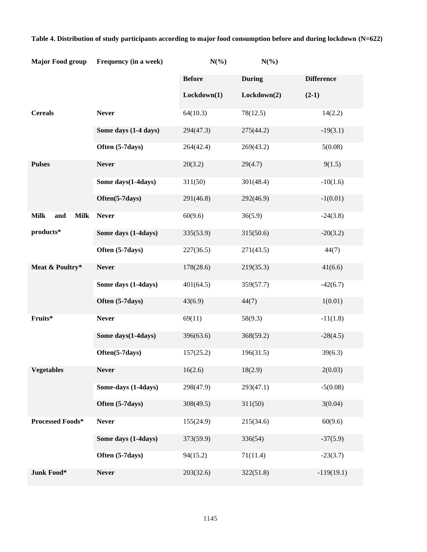| <b>Major Food group</b>           | Frequency (in a week) | $N(\%)$       | $N(\%)$       |                   |
|-----------------------------------|-----------------------|---------------|---------------|-------------------|
|                                   |                       | <b>Before</b> | <b>During</b> | <b>Difference</b> |
|                                   |                       | Lockdown(1)   | Lockdown(2)   | $(2-1)$           |
| <b>Cereals</b>                    | <b>Never</b>          | 64(10.3)      | 78(12.5)      | 14(2.2)           |
|                                   | Some days (1-4 days)  | 294(47.3)     | 275(44.2)     | $-19(3.1)$        |
|                                   | Often (5-7days)       | 264(42.4)     | 269(43.2)     | 5(0.08)           |
| <b>Pulses</b>                     | <b>Never</b>          | 20(3.2)       | 29(4.7)       | 9(1.5)            |
|                                   | Some days (1-4days)   | 311(50)       | 301(48.4)     | $-10(1.6)$        |
|                                   | Often(5-7days)        | 291(46.8)     | 292(46.9)     | $-1(0.01)$        |
| <b>Milk</b><br>and<br><b>Milk</b> | <b>Never</b>          | 60(9.6)       | 36(5.9)       | $-24(3.8)$        |
| products*                         | Some days (1-4days)   | 335(53.9)     | 315(50.6)     | $-20(3.2)$        |
|                                   | Often (5-7days)       | 227(36.5)     | 271(43.5)     | 44(7)             |
| Meat & Poultry*                   | <b>Never</b>          | 178(28.6)     | 219(35.3)     | 41(6.6)           |
|                                   | Some days (1-4days)   | 401(64.5)     | 359(57.7)     | $-42(6.7)$        |
|                                   | Often (5-7days)       | 43(6.9)       | 44(7)         | 1(0.01)           |
| Fruits*                           | <b>Never</b>          | 69(11)        | 58(9.3)       | $-11(1.8)$        |
|                                   | Some days (1-4days)   | 396(63.6)     | 368(59.2)     | $-28(4.5)$        |
|                                   | Often(5-7days)        | 157(25.2)     | 196(31.5)     | 39(6.3)           |
| <b>Vegetables</b>                 | <b>Never</b>          | 16(2.6)       | 18(2.9)       | 2(0.03)           |
|                                   | Some-days (1-4days)   | 298(47.9)     | 293(47.1)     | $-5(0.08)$        |
|                                   | Often (5-7days)       | 308(49.5)     | 311(50)       | 3(0.04)           |
| Processed Foods*                  | <b>Never</b>          | 155(24.9)     | 215(34.6)     | 60(9.6)           |
|                                   | Some days (1-4days)   | 373(59.9)     | 336(54)       | $-37(5.9)$        |
|                                   | Often (5-7days)       | 94(15.2)      | 71(11.4)      | $-23(3.7)$        |
| Junk Food*                        | <b>Never</b>          | 203(32.6)     | 322(51.8)     | $-119(19.1)$      |

# **Table 4. Distribution of study participants according to major food consumption before and during lockdown (N=622)**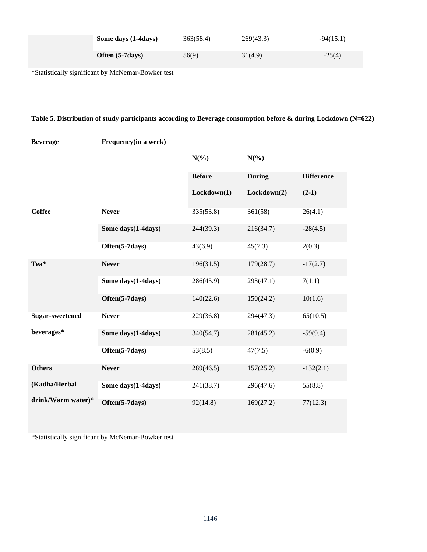| Some days (1-4days) | 363(58.4) | 269(43.3) | $-94(15.1)$ |
|---------------------|-----------|-----------|-------------|
| Often (5-7 days)    | 56(9)     | 31(4.9)   | $-25(4)$    |

\*Statistically significant by McNemar-Bowker test

# **Table 5. Distribution of study participants according to Beverage consumption before & during Lockdown (N=622)**

| <b>Beverage</b>        | Frequency (in a week) |               |               |                   |
|------------------------|-----------------------|---------------|---------------|-------------------|
|                        |                       | $N(\%)$       | $N(\%)$       |                   |
|                        |                       | <b>Before</b> | <b>During</b> | <b>Difference</b> |
|                        |                       | Lockdown(1)   | Lockdown(2)   | $(2-1)$           |
| <b>Coffee</b>          | <b>Never</b>          | 335(53.8)     | 361(58)       | 26(4.1)           |
|                        | Some days(1-4days)    | 244(39.3)     | 216(34.7)     | $-28(4.5)$        |
|                        | Often(5-7days)        | 43(6.9)       | 45(7.3)       | 2(0.3)            |
| Tea*                   | <b>Never</b>          | 196(31.5)     | 179(28.7)     | $-17(2.7)$        |
|                        | Some days(1-4days)    | 286(45.9)     | 293(47.1)     | 7(1.1)            |
|                        | Often(5-7days)        | 140(22.6)     | 150(24.2)     | 10(1.6)           |
| <b>Sugar-sweetened</b> | <b>Never</b>          | 229(36.8)     | 294(47.3)     | 65(10.5)          |
| beverages*             | Some days (1-4days)   | 340(54.7)     | 281(45.2)     | $-59(9.4)$        |
|                        | Often(5-7days)        | 53(8.5)       | 47(7.5)       | $-6(0.9)$         |
| <b>Others</b>          | <b>Never</b>          | 289(46.5)     | 157(25.2)     | $-132(2.1)$       |
| (Kadha/Herbal          | Some days(1-4days)    | 241(38.7)     | 296(47.6)     | 55(8.8)           |
| drink/Warm water)*     | Often(5-7days)        | 92(14.8)      | 169(27.2)     | 77(12.3)          |

\*Statistically significant by McNemar-Bowker test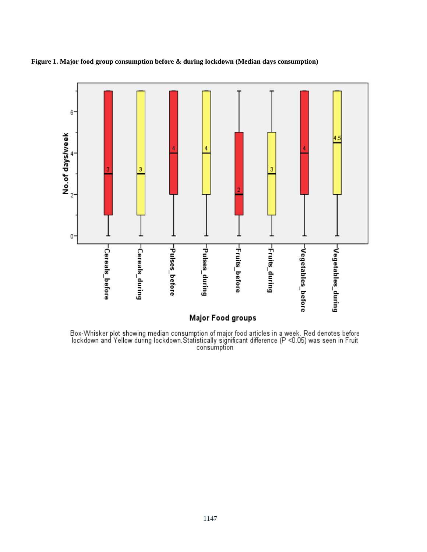

**Figure 1. Major food group consumption before & during lockdown (Median days consumption)**

Box-Whisker plot showing median consumption of major food articles in a week. Red denotes before<br>lockdown and Yellow during lockdown.Statistically significant difference (P <0.05) was seen in Fruit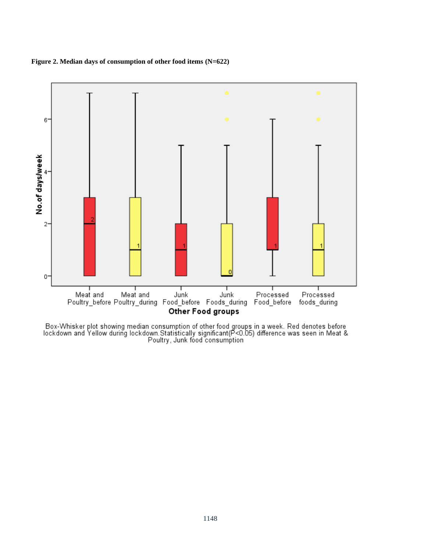



Box-Whisker plot showing median consumption of other food groups in a week. Red denotes before<br>Iockdown and Yellow during lockdown.Statistically significant(P<0.05) difference was seen in Meat &<br>Poultry, Junk food consumpt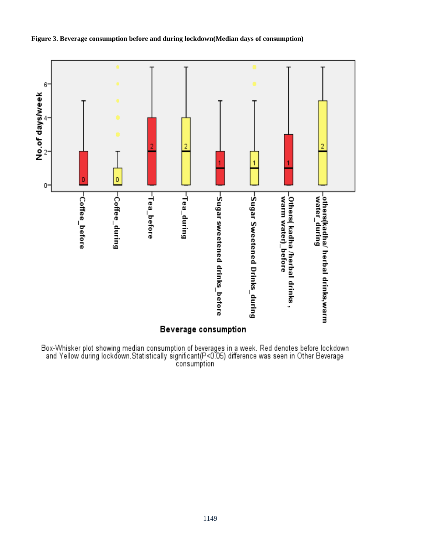

## **Figure 3. Beverage consumption before and during lockdown(Median days of consumption)**

Box-Whisker plot showing median consumption of beverages in a week. Red denotes before lockdown<br>and Yellow during lockdown.Statistically significant(P<0.05) difference was seen in Other Beverage<br>consumption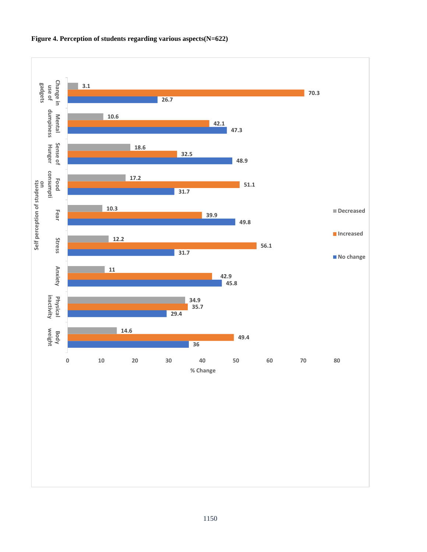

## **Figure 4. Perception of students regarding various aspects(N=622)**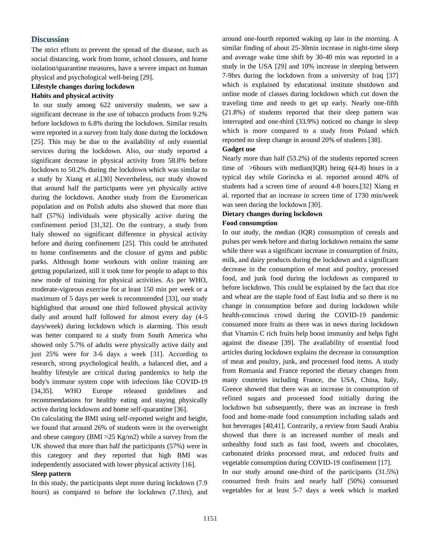## **Discussion**

The strict efforts to prevent the spread of the disease, such as social distancing, work from home, school closures, and home isolation/quarantine measures, have a severe impact on human physical and psychological well-being [29].

## **Lifestyle changes during lockdown**

#### **Habits and physical activity**

In our study among 622 university students, we saw a significant decrease in the use of tobacco products from 9.2% before lockdown to 6.8% during the lockdown. Similar results were reported in a survey from Italy done during the lockdown [25]. This may be due to the availability of only essential services during the lockdown. Also, our study reported a significant decrease in physical activity from 58.8% before lockdown to 50.2% during the lockdown which was similar to a study by Xiang et al.[30] Nevertheless, our study showed that around half the participants were yet physically active during the lockdown. Another study from the Euromerican population and on Polish adults also showed that more than half (57%) individuals were physically active during the confinement period [31,32]. On the contrary, a study from Italy showed no significant difference in physical activity before and during confinement [25]. This could be attributed to home confinements and the closure of gyms and public parks. Although home workouts with online training are getting popularized, still it took time for people to adapt to this new mode of training for physical activities. As per WHO, moderate-vigorous exercise for at least 150 min per week or a maximum of 5 days per week is recommended [33], our study highlighted that around one third followed physical activity daily and around half followed for almost every day (4-5 days/week) during lockdown which is alarming. This result was better compared to a study from South America who showed only 5.7% of adults were physically active daily and just 25% were for 3-6 days a week [31]. According to research, strong psychological health, a balanced diet, and a healthy lifestyle are critical during pandemics to help the body's immune system cope with infections like COVID-19 [34,35]. WHO Europe released guidelines and recommendations for healthy eating and staying physically active during lockdowns and home self-quarantine [36].

On calculating the BMI using self-reported weight and height, we found that around 26% of students were in the overweight and obese category (BMI >25 Kg/m2) while a survey from the UK showed that more than half the participants (57%) were in this category and they reported that high BMI was independently associated with lower physical activity [16].

#### **Sleep pattern**

In this study, the participants slept more during lockdown (7.9 hours) as compared to before the lockdown (7.1hrs), and

around one-fourth reported waking up late in the morning. A similar finding of about 25-30min increase in night-time sleep and average wake time shift by 30-40 min was reported in a study in the USA [29] and 10% increase in sleeping between 7-9hrs during the lockdown from a university of Iraq [37] which is explained by educational institute shutdown and online mode of classes during lockdown which cut down the traveling time and needs to get up early. Nearly one-fifth (21.8%) of students reported that their sleep pattern was interrupted and one-third (33.9%) noticed no change in sleep which is more compared to a study from Poland which reported no sleep change in around 20% of students [38].

#### **Gadget use**

Nearly more than half (53.2%) of the students reported screen time of  $>$ 6hours with median(IQR) being 6(4-8) hours in a typical day while Gorincka et al. reported around 40% of students had a screen time of around 4-8 hours.[32] Xiang et al. reported that an increase in screen time of 1730 min/week was seen during the lockdown [30].

## **Dietary changes during lockdown Food consumption**

In our study, the median (IQR) consumption of cereals and pulses per week before and during lockdown remains the same while there was a significant increase in consumption of fruits, milk, and dairy products during the lockdown and a significant decrease in the consumption of meat and poultry, processed food, and junk food during the lockdown as compared to before lockdown. This could be explained by the fact that rice and wheat are the staple food of East India and so there is no change in consumption before and during lockdown while health-conscious crowd during the COVID-19 pandemic consumed more fruits as there was in news during lockdown that Vitamin C rich fruits help boost immunity and helps fight against the disease [39]. The availability of essential food articles during lockdown explains the decrease in consumption of meat and poultry, junk, and processed food items. A study from Romania and France reported the dietary changes from many countries including France, the USA, China, Italy, Greece showed that there was an increase in consumption of refined sugars and processed food initially during the lockdown but subsequently, there was an increase in fresh food and home-made food consumption including salads and hot beverages [40,41]. Contrarily, a review from Saudi Arabia showed that there is an increased number of meals and unhealthy food such as fast food, sweets and chocolates, carbonated drinks processed meat, and reduced fruits and vegetable consumption during COVID-19 confinement [17].

In our study around one-third of the participants (31.5%) consumed fresh fruits and nearly half (50%) consumed vegetables for at least 5-7 days a week which is marked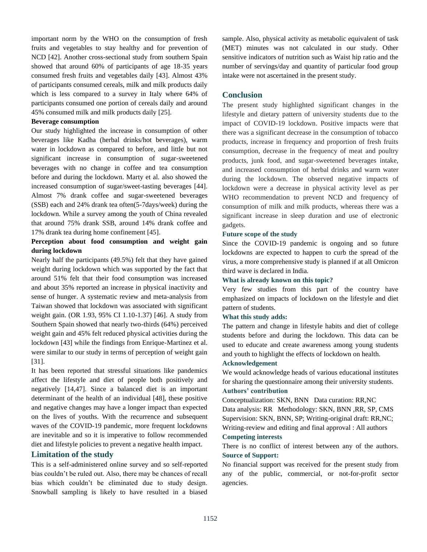important norm by the WHO on the consumption of fresh fruits and vegetables to stay healthy and for prevention of NCD [42]. Another cross-sectional study from southern Spain showed that around 60% of participants of age 18-35 years consumed fresh fruits and vegetables daily [43]. Almost 43% of participants consumed cereals, milk and milk products daily which is less compared to a survey in Italy where 64% of participants consumed one portion of cereals daily and around 45% consumed milk and milk products daily [25].

#### **Beverage consumption**

Our study highlighted the increase in consumption of other beverages like Kadha (herbal drinks/hot beverages), warm water in lockdown as compared to before, and little but not significant increase in consumption of sugar-sweetened beverages with no change in coffee and tea consumption before and during the lockdown. Marty et al. also showed the increased consumption of sugar/sweet-tasting beverages [44]. Almost 7% drank coffee and sugar-sweetened beverages (SSB) each and 24% drank tea often(5-7days/week) during the lockdown. While a survey among the youth of China revealed that around 75% drank SSB, around 14% drank coffee and 17% drank tea during home confinement [45].

## **Perception about food consumption and weight gain during lockdown**

Nearly half the participants (49.5%) felt that they have gained weight during lockdown which was supported by the fact that around 51% felt that their food consumption was increased and about 35% reported an increase in physical inactivity and sense of hunger. A systematic review and meta-analysis from Taiwan showed that lockdown was associated with significant weight gain. (OR 1.93, 95% CI 1.10-1.37) [46]. A study from Southern Spain showed that nearly two-thirds (64%) perceived weight gain and 45% felt reduced physical activities during the lockdown [43] while the findings from Enrique-Martinez et al. were similar to our study in terms of perception of weight gain [31].

It has been reported that stressful situations like pandemics affect the lifestyle and diet of people both positively and negatively [14,47]. Since a balanced diet is an important determinant of the health of an individual [48], these positive and negative changes may have a longer impact than expected on the lives of youths. With the recurrence and subsequent waves of the COVID-19 pandemic, more frequent lockdowns are inevitable and so it is imperative to follow recommended diet and lifestyle policies to prevent a negative health impact.

## **Limitation of the study**

This is a self-administered online survey and so self-reported bias couldn't be ruled out. Also, there may be chances of recall bias which couldn't be eliminated due to study design. Snowball sampling is likely to have resulted in a biased sample. Also, physical activity as metabolic equivalent of task (MET) minutes was not calculated in our study. Other sensitive indicators of nutrition such as Waist hip ratio and the number of servings/day and quantity of particular food group intake were not ascertained in the present study.

## **Conclusion**

The present study highlighted significant changes in the lifestyle and dietary pattern of university students due to the impact of COVID-19 lockdown. Positive impacts were that there was a significant decrease in the consumption of tobacco products, increase in frequency and proportion of fresh fruits consumption, decrease in the frequency of meat and poultry products, junk food, and sugar-sweetened beverages intake, and increased consumption of herbal drinks and warm water during the lockdown. The observed negative impacts of lockdown were a decrease in physical activity level as per WHO recommendation to prevent NCD and frequency of consumption of milk and milk products, whereas there was a significant increase in sleep duration and use of electronic gadgets.

#### **Future scope of the study**

Since the COVID-19 pandemic is ongoing and so future lockdowns are expected to happen to curb the spread of the virus, a more comprehensive study is planned if at all Omicron third wave is declared in India.

#### **What is already known on this topic?**

Very few studies from this part of the country have emphasized on impacts of lockdown on the lifestyle and diet pattern of students.

#### **What this study adds:**

The pattern and change in lifestyle habits and diet of college students before and during the lockdown. This data can be used to educate and create awareness among young students and youth to highlight the effects of lockdown on health.

#### **Acknowledgement**

We would acknowledge heads of various educational institutes for sharing the questionnaire among their university students. **Authors' contribution**

Conceptualization: SKN, BNN Data curation: RR,NC Data analysis: RR Methodology: SKN, BNN ,RR, SP, CMS Supervision: SKN, BNN, SP; Writing-original draft: RR,NC; Writing-review and editing and final approval : All authors **Competing interests**

## There is no conflict of interest between any of the authors. **Source of Support:**

No financial support was received for the present study from any of the public, commercial, or not-for-profit sector agencies.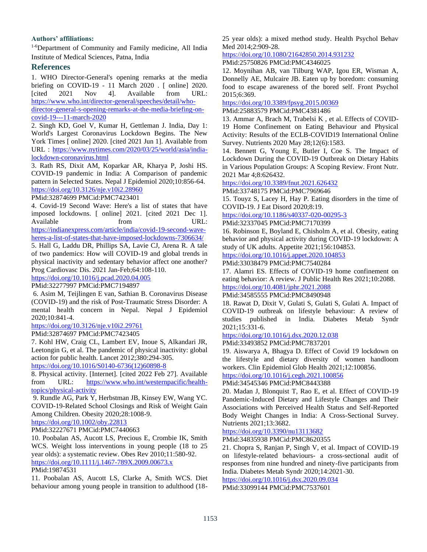## **Authors' affiliations:**

1-6Department of Community and Family medicine, All India Institute of Medical Sciences, Patna, India

## **References**

1. WHO Director-General's opening remarks at the media briefing on COVID-19 - 11 March 2020 . [ online] 2020. [cited 2021 Nov 4]. Available from URL: [https://www.who.int/director-general/speeches/detail/who](https://www.who.int/director-general/speeches/detail/who-director-general-s-opening-remarks-at-the-media-briefing-on-covid-19---11-march-2020)[director-general-s-opening-remarks-at-the-media-briefing-on](https://www.who.int/director-general/speeches/detail/who-director-general-s-opening-remarks-at-the-media-briefing-on-covid-19---11-march-2020)[covid-19---11-march-2020](https://www.who.int/director-general/speeches/detail/who-director-general-s-opening-remarks-at-the-media-briefing-on-covid-19---11-march-2020)

2. Singh KD, Goel V, Kumar H, Gettleman J. India, Day 1: World's Largest Coronavirus Lockdown Begins. The New York Times [ online] 2020. [cited 2021 Jun 1]. Available from URL : [https://www.nytimes.com/2020/03/25/world/asia/india](https://www.nytimes.com/2020/03/25/world/asia/india-lockdown-coronavirus.html)[lockdown-coronavirus.html](https://www.nytimes.com/2020/03/25/world/asia/india-lockdown-coronavirus.html)

3. Rath RS, Dixit AM, Koparkar AR, Kharya P, Joshi HS. COVID-19 pandemic in India: A Comparison of pandemic pattern in Selected States. Nepal J Epidemiol 2020;10:856-64. <https://doi.org/10.3126/nje.v10i2.28960>

PMid:32874699 PMCid:PMC7423401

4. Covid-19 Second Wave: Here's a list of states that have imposed lockdowns. [ online] 2021. [cited 2021 Dec 1]. Available from URL: [https://indianexpress.com/article/india/covid-19-second-wave-](https://indianexpress.com/article/india/covid-19-second-wave-heres-a-list-of-states-that-have-imposed-lockdowns-7306634/)

[heres-a-list-of-states-that-have-imposed-lockdowns-7306634/](https://indianexpress.com/article/india/covid-19-second-wave-heres-a-list-of-states-that-have-imposed-lockdowns-7306634/)

5. Hall G, Laddu DR, Phillips SA, Lavie CJ, Arena R. A tale of two pandemics: How will COVID-19 and global trends in physical inactivity and sedentary behavior affect one another? Prog Cardiovasc Dis. 2021 Jan-Feb;64:108-110.

<https://doi.org/10.1016/j.pcad.2020.04.005>

PMid:32277997 PMCid:PMC7194897

6. Asim M, Teijlingen E van, Sathian B. Coronavirus Disease (COVID-19) and the risk of Post-Traumatic Stress Disorder: A mental health concern in Nepal. Nepal J Epidemiol 2020;10:841-4.

## <https://doi.org/10.3126/nje.v10i2.29761>

PMid:32874697 PMCid:PMC7423405

7. Kohl HW, Craig CL, Lambert EV, Inoue S, Alkandari JR, Leetongin G, et al. The pandemic of physical inactivity: global action for public health. Lancet 2012;380:294-305. [https://doi.org/10.1016/S0140-6736\(12\)60898-8](https://doi.org/10.1016/S0140-6736(12)60898-8)

8. Physical activity. [Internet]. [cited 2022 Feb 27]. Available from URL: [https://www.who.int/westernpacific/health](https://www.who.int/westernpacific/health-topics/physical-activity)[topics/physical-activity](https://www.who.int/westernpacific/health-topics/physical-activity)

9. Rundle AG, Park Y, Herbstman JB, Kinsey EW, Wang YC. COVID-19-Related School Closings and Risk of Weight Gain Among Children. Obesity 2020;28:1008-9.

## <https://doi.org/10.1002/oby.22813>

PMid:32227671 PMCid:PMC7440663

10. Poobalan AS, Aucott LS, Precious E, Crombie IK, Smith WCS. Weight loss interventions in young people (18 to 25 year olds): a systematic review. Obes Rev 2010;11:580-92. <https://doi.org/10.1111/j.1467-789X.2009.00673.x> PMid:19874531

11. Poobalan AS, Aucott LS, Clarke A, Smith WCS. Diet behaviour among young people in transition to adulthood (1825 year olds): a mixed method study. Health Psychol Behav Med 2014;2:909-28.

<https://doi.org/10.1080/21642850.2014.931232> PMid:25750826 PMCid:PMC4346025

12. Moynihan AB, van Tilburg WAP, Igou ER, Wisman A,

Donnelly AE, Mulcaire JB. Eaten up by boredom: consuming food to escape awareness of the bored self. Front Psychol 2015;6:369.

<https://doi.org/10.3389/fpsyg.2015.00369>

PMid:25883579 PMCid:PMC4381486

13. Ammar A, Brach M, Trabelsi K , et al. Effects of COVID-19 Home Confinement on Eating Behaviour and Physical Activity: Results of the ECLB-COVID19 International Online Survey. Nutrients 2020 May 28;12(6):1583.

14. Bennett G, Young E, Butler I, Coe S. The Impact of Lockdown During the COVID-19 Outbreak on Dietary Habits in Various Population Groups: A Scoping Review. Front Nutr. 2021 Mar 4;8:626432.

<https://doi.org/10.3389/fnut.2021.626432>

PMid:33748175 PMCid:PMC7969646

15. Touyz S, Lacey H, Hay P. Eating disorders in the time of COVID-19. J Eat Disord 2020;8:19.

<https://doi.org/10.1186/s40337-020-00295-3>

PMid:32337045 PMCid:PMC7170399

16. Robinson E, Boyland E, Chisholm A, et al. Obesity, eating behavior and physical activity during COVID-19 lockdown: A study of UK adults. Appetite 2021;156:104853.

<https://doi.org/10.1016/j.appet.2020.104853>

PMid:33038479 PMCid:PMC7540284

17. Alamri ES. Effects of COVID-19 home confinement on eating behavior: A review. J Public Health Res 2021;10:2088. <https://doi.org/10.4081/jphr.2021.2088>

# PMid:34585555 PMCid:PMC8490948

18. Rawat D, Dixit V, Gulati S, Gulati S, Gulati A. Impact of COVID-19 outbreak on lifestyle behaviour: A review of studies published in India. Diabetes Metab Syndr 2021;15:331-6.

## <https://doi.org/10.1016/j.dsx.2020.12.038>

PMid:33493852 PMCid:PMC7837201

19. Aiswarya A, Bhagya D. Effect of Covid 19 lockdown on the lifestyle and dietary diversity of women handloom workers. Clin Epidemiol Glob Health 2021;12:100856.

<https://doi.org/10.1016/j.cegh.2021.100856>

## PMid:34545346 PMCid:PMC8443388

20. Madan J, Blonquist T, Rao E, et al. Effect of COVID-19 Pandemic-Induced Dietary and Lifestyle Changes and Their Associations with Perceived Health Status and Self-Reported Body Weight Changes in India: A Cross-Sectional Survey. Nutrients 2021;13:3682.

## <https://doi.org/10.3390/nu13113682>

PMid:34835938 PMCid:PMC8620355

21. Chopra S, Ranjan P, Singh V, et al. Impact of COVID-19 on lifestyle-related behaviours- a cross-sectional audit of responses from nine hundred and ninety-five participants from India. Diabetes Metab Syndr 2020;14:2021-30.

<https://doi.org/10.1016/j.dsx.2020.09.034>

PMid:33099144 PMCid:PMC7537601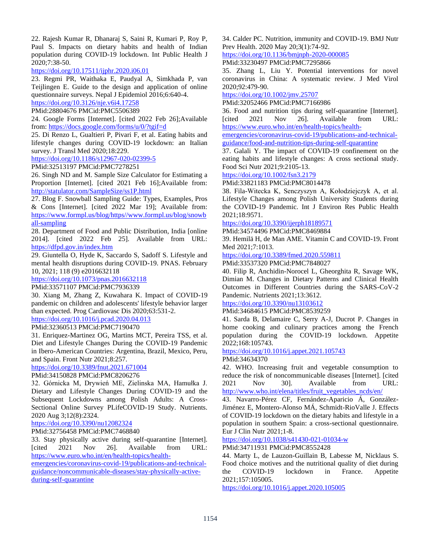22. Rajesh Kumar R, Dhanaraj S, Saini R, Kumari P, Roy P, Paul S. Impacts on dietary habits and health of Indian population during COVID-19 lockdown. Int Public Health J 2020;7:38-50.

## <https://doi.org/10.17511/ijphr.2020.i06.01>

23. Regmi PR, Waithaka E, Paudyal A, Simkhada P, van Teijlingen E. Guide to the design and application of online questionnaire surveys. Nepal J Epidemiol 2016;6:640-4.

<https://doi.org/10.3126/nje.v6i4.17258>

PMid:28804676 PMCid:PMC5506389

24. Google Forms [Internet]. [cited 2022 Feb 26];Available from[: https://docs.google.com/forms/u/0/?tgif=d](https://docs.google.com/forms/u/0/?tgif=d)

25. Di Renzo L, Gualtieri P, Pivari F, et al. Eating habits and lifestyle changes during COVID-19 lockdown: an Italian survey. J Transl Med 2020;18:229.

<https://doi.org/10.1186/s12967-020-02399-5>

PMid:32513197 PMCid:PMC7278251

26. Singh ND and M. Sample Size Calculator for Estimating a Proportion [Internet]. [cited 2021 Feb 16];Available from: <http://statulator.com/SampleSize/ss1P.html>

27. Blog F. Snowball Sampling Guide: Types, Examples, Pros & Cons [Internet]. [cited 2022 Mar 19]; Available from: [https://www.formpl.us/blog/https//www.formpl.us/blog/snowb](https://www.formpl.us/blog/https/www.formpl.us/blog/snowball-sampling) [all-sampling](https://www.formpl.us/blog/https/www.formpl.us/blog/snowball-sampling)

28. Department of Food and Public Distribution, India [online 2014]. [cited 2022 Feb 25]. Available from URL: <https://dfpd.gov.in/index.htm>

29. Giuntella O, Hyde K, Saccardo S, Sadoff S. Lifestyle and mental health disruptions during COVID-19. PNAS. February 10, 2021; 118 (9) e2016632118

<https://doi.org/10.1073/pnas.2016632118>

PMid:33571107 PMCid:PMC7936339

30. Xiang M, Zhang Z, Kuwahara K. Impact of COVID-19 pandemic on children and adolescents' lifestyle behavior larger than expected. Prog Cardiovasc Dis 2020;63:531-2.

<https://doi.org/10.1016/j.pcad.2020.04.013>

## PMid:32360513 PMCid:PMC7190470

31. Enriquez-Martinez OG, Martins MCT, Pereira TSS, et al. Diet and Lifestyle Changes During the COVID-19 Pandemic in Ibero-American Countries: Argentina, Brazil, Mexico, Peru, and Spain. Front Nutr 2021;8:257.

<https://doi.org/10.3389/fnut.2021.671004>

PMid:34150828 PMCid:PMC8206276

32. Górnicka M, Drywień ME, Zielinska MA, Hamułka J. Dietary and Lifestyle Changes During COVID-19 and the Subsequent Lockdowns among Polish Adults: A Cross-Sectional Online Survey PLifeCOVID-19 Study. Nutrients. 2020 Aug 3;12(8):2324.

<https://doi.org/10.3390/nu12082324>

PMid:32756458 PMCid:PMC7468840

33. Stay physically active during self-quarantine [Internet]. [cited 2021 Nov 26]. Available from URL: [https://www.euro.who.int/en/health-topics/health-](https://www.euro.who.int/en/health-topics/health-emergencies/coronavirus-covid-19/publications-and-technical-guidance/noncommunicable-diseases/stay-physically-active-during-self-quarantine)

[emergencies/coronavirus-covid-19/publications-and-technical](https://www.euro.who.int/en/health-topics/health-emergencies/coronavirus-covid-19/publications-and-technical-guidance/noncommunicable-diseases/stay-physically-active-during-self-quarantine)[guidance/noncommunicable-diseases/stay-physically-active](https://www.euro.who.int/en/health-topics/health-emergencies/coronavirus-covid-19/publications-and-technical-guidance/noncommunicable-diseases/stay-physically-active-during-self-quarantine)[during-self-quarantine](https://www.euro.who.int/en/health-topics/health-emergencies/coronavirus-covid-19/publications-and-technical-guidance/noncommunicable-diseases/stay-physically-active-during-self-quarantine)

34. Calder PC. Nutrition, immunity and COVID-19. BMJ Nutr Prev Health. 2020 May 20;3(1):74-92.

<https://doi.org/10.1136/bmjnph-2020-000085>

PMid:33230497 PMCid:PMC7295866

35. Zhang L, Liu Y. Potential interventions for novel coronavirus in China: A systematic review. J Med Virol 2020;92:479-90.

<https://doi.org/10.1002/jmv.25707>

PMid:32052466 PMCid:PMC7166986

36. Food and nutrition tips during self-quarantine [Internet]. [cited 2021 Nov 26]. Available from URL: [https://www.euro.who.int/en/health-topics/health-](https://www.euro.who.int/en/health-topics/health-emergencies/coronavirus-covid-19/publications-and-technical-guidance/food-and-nutrition-tips-during-self-quarantine)

[emergencies/coronavirus-covid-19/publications-and-technical](https://www.euro.who.int/en/health-topics/health-emergencies/coronavirus-covid-19/publications-and-technical-guidance/food-and-nutrition-tips-during-self-quarantine)[guidance/food-and-nutrition-tips-during-self-quarantine](https://www.euro.who.int/en/health-topics/health-emergencies/coronavirus-covid-19/publications-and-technical-guidance/food-and-nutrition-tips-during-self-quarantine)

37. Galali Y. The impact of COVID-19 confinement on the eating habits and lifestyle changes: A cross sectional study. Food Sci Nutr 2021;9:2105-13.

<https://doi.org/10.1002/fsn3.2179>

PMid:33821183 PMCid:PMC8014478

38. Fila-Witecka K, Senczyszyn A, Kołodziejczyk A, et al. Lifestyle Changes among Polish University Students during the COVID-19 Pandemic. Int J Environ Res Public Health 2021;18:9571.

<https://doi.org/10.3390/ijerph18189571>

PMid:34574496 PMCid:PMC8469884

39. Hemilä H, de Man AME. Vitamin C and COVID-19. Front Med 2021;7:1013.

<https://doi.org/10.3389/fmed.2020.559811>

PMid:33537320 PMCid:PMC7848027

40. Filip R, Anchidin-Norocel L, Gheorghita R, Savage WK, Dimian M. Changes in Dietary Patterns and Clinical Health Outcomes in Different Countries during the SARS-CoV-2 Pandemic. Nutrients 2021;13:3612.

## <https://doi.org/10.3390/nu13103612>

PMid:34684615 PMCid:PMC8539259

41. Sarda B, Delamaire C, Serry A-J, Ducrot P. Changes in home cooking and culinary practices among the French population during the COVID-19 lockdown. Appetite 2022;168:105743.

<https://doi.org/10.1016/j.appet.2021.105743>

PMid:34634370

42. WHO. Increasing fruit and vegetable consumption to reduce the risk of noncommunicable diseases [Internet]. [cited 2021 Nov 30]. Available from URL: [http://www.who.int/elena/titles/fruit\\_vegetables\\_ncds/en/](http://www.who.int/elena/titles/fruit_vegetables_ncds/en/)

43. Navarro-Pérez CF, Fernández-Aparicio Á, González-Jiménez E, Montero-Alonso MÁ, Schmidt-RioValle J. Effects of COVID-19 lockdown on the dietary habits and lifestyle in a population in southern Spain: a cross-sectional questionnaire. Eur J Clin Nutr 2021;1-8.

<https://doi.org/10.1038/s41430-021-01034-w>

PMid:34711931 PMCid:PMC8552428

44. Marty L, de Lauzon-Guillain B, Labesse M, Nicklaus S. Food choice motives and the nutritional quality of diet during the COVID-19 lockdown in France. Appetite 2021;157:105005.

<https://doi.org/10.1016/j.appet.2020.105005>